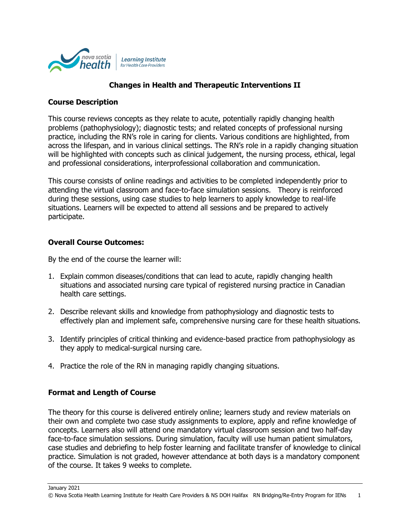

## **Changes in Health and Therapeutic Interventions II**

### **Course Description**

This course reviews concepts as they relate to acute, potentially rapidly changing health problems (pathophysiology); diagnostic tests; and related concepts of professional nursing practice, including the RN's role in caring for clients. Various conditions are highlighted, from across the lifespan, and in various clinical settings. The RN's role in a rapidly changing situation will be highlighted with concepts such as clinical judgement, the nursing process, ethical, legal and professional considerations, interprofessional collaboration and communication.

This course consists of online readings and activities to be completed independently prior to attending the virtual classroom and face-to-face simulation sessions. Theory is reinforced during these sessions, using case studies to help learners to apply knowledge to real-life situations. Learners will be expected to attend all sessions and be prepared to actively participate.

### **Overall Course Outcomes:**

By the end of the course the learner will:

- 1. Explain common diseases/conditions that can lead to acute, rapidly changing health situations and associated nursing care typical of registered nursing practice in Canadian health care settings.
- 2. Describe relevant skills and knowledge from pathophysiology and diagnostic tests to effectively plan and implement safe, comprehensive nursing care for these health situations.
- 3. Identify principles of critical thinking and evidence-based practice from pathophysiology as they apply to medical-surgical nursing care.
- 4. Practice the role of the RN in managing rapidly changing situations.

### **Format and Length of Course**

The theory for this course is delivered entirely online; learners study and review materials on their own and complete two case study assignments to explore, apply and refine knowledge of concepts. Learners also will attend one mandatory virtual classroom session and two half-day face-to-face simulation sessions. During simulation, faculty will use human patient simulators, case studies and debriefing to help foster learning and facilitate transfer of knowledge to clinical practice. Simulation is not graded, however attendance at both days is a mandatory component of the course. It takes 9 weeks to complete.

January 2021